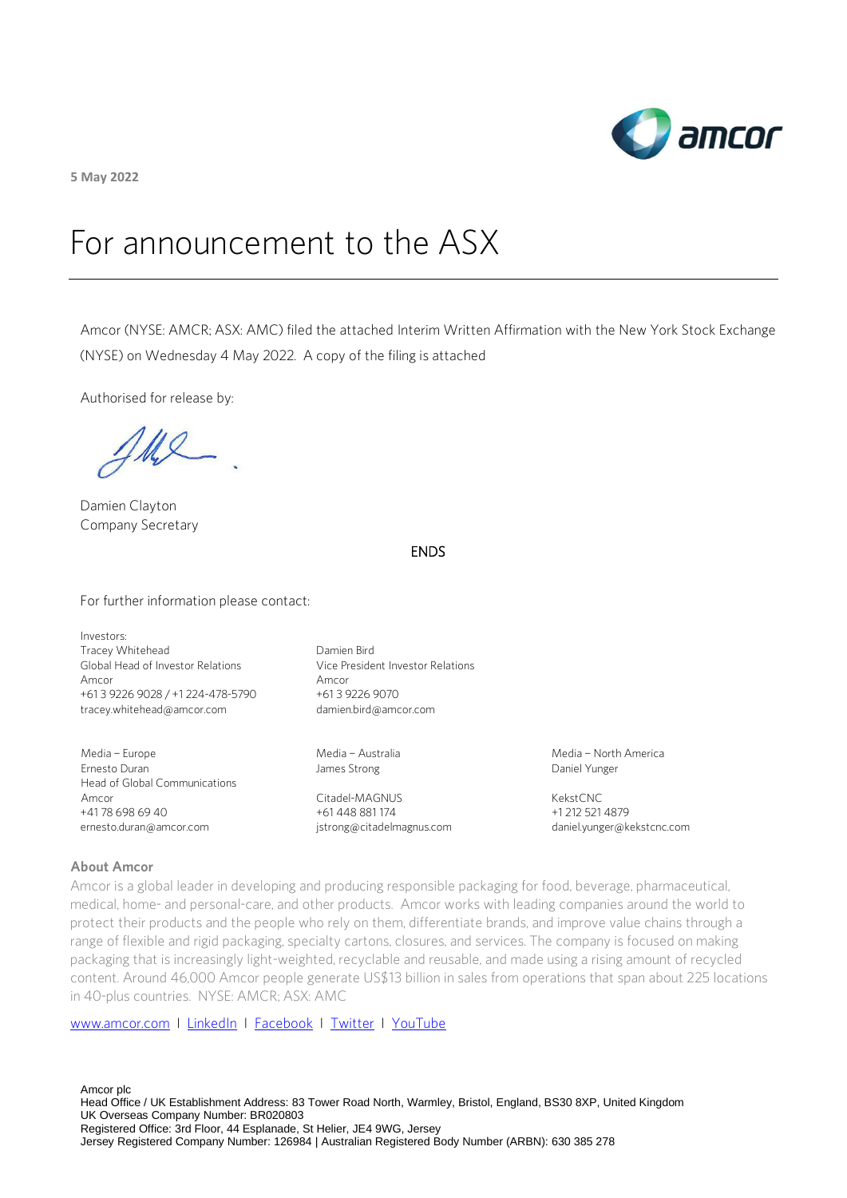

**5 May 2022**

# For announcement to the ASX

Amcor (NYSE: AMCR; ASX: AMC) filed the attached Interim Written Affirmation with the New York Stock Exchange (NYSE) on Wednesday 4 May 2022. A copy of the filing is attached

Authorised for release by:

MI

Damien Clayton Company Secretary

### ENDS

For further information please contact:

Investors: Tracey Whitehead Global Head of Investor Relations Amcor +61 3 9226 9028 / +1 224-478-5790 [tracey.whitehead@amcor.com](mailto:tracey.whitehead@amcor.com)

Media – Europe Ernesto Duran Head of Global Communications Amcor +41 78 698 69 40 ernesto.duran@amcor.com

Damien Bird Vice President Investor Relations Amcor +61 3 9226 9070 damien.bird@amcor.com

Media – Australia James Strong

Citadel-MAGNUS +61 448 881 174 [jstrong@citadelmagnus.com](mailto:jstrong@citadelmagnus.com)  Media – North America Daniel Yunger

KekstCNC +1 212 521 4879 [daniel.yunger@kekstcnc.com](mailto:daniel.yunger@kekstcnc.com) 

#### **About Amcor**

Amcor is a global leader in developing and producing responsible packaging for food, beverage, pharmaceutical, medical, home- and personal-care, and other products. Amcor works with leading companies around the world to protect their products and the people who rely on them, differentiate brands, and improve value chains through a range of flexible and rigid packaging, specialty cartons, closures, and services. The company is focused on making packaging that is increasingly light-weighted, recyclable and reusable, and made using a rising amount of recycled content. Around 46,000 Amcor people generate US\$13 billion in sales from operations that span about 225 locations in 40-plus countries. NYSE: AMCR; ASX: AMC

[www.amcor.com](http://www.amcor.com/) I [LinkedIn](https://www.linkedin.com/company/6311/admin/) I [Facebook](https://www.facebook.com/amcorlimited/) I [Twitter](https://twitter.com/amcorpackaging) I [YouTube](https://www.youtube.com/user/AmcorPackaging)

Amcor plc Head Office / UK Establishment Address: 83 Tower Road North, Warmley, Bristol, England, BS30 8XP, United Kingdom UK Overseas Company Number: BR020803 Registered Office: 3rd Floor, 44 Esplanade, St Helier, JE4 9WG, Jersey Jersey Registered Company Number: 126984 | Australian Registered Body Number (ARBN): 630 385 278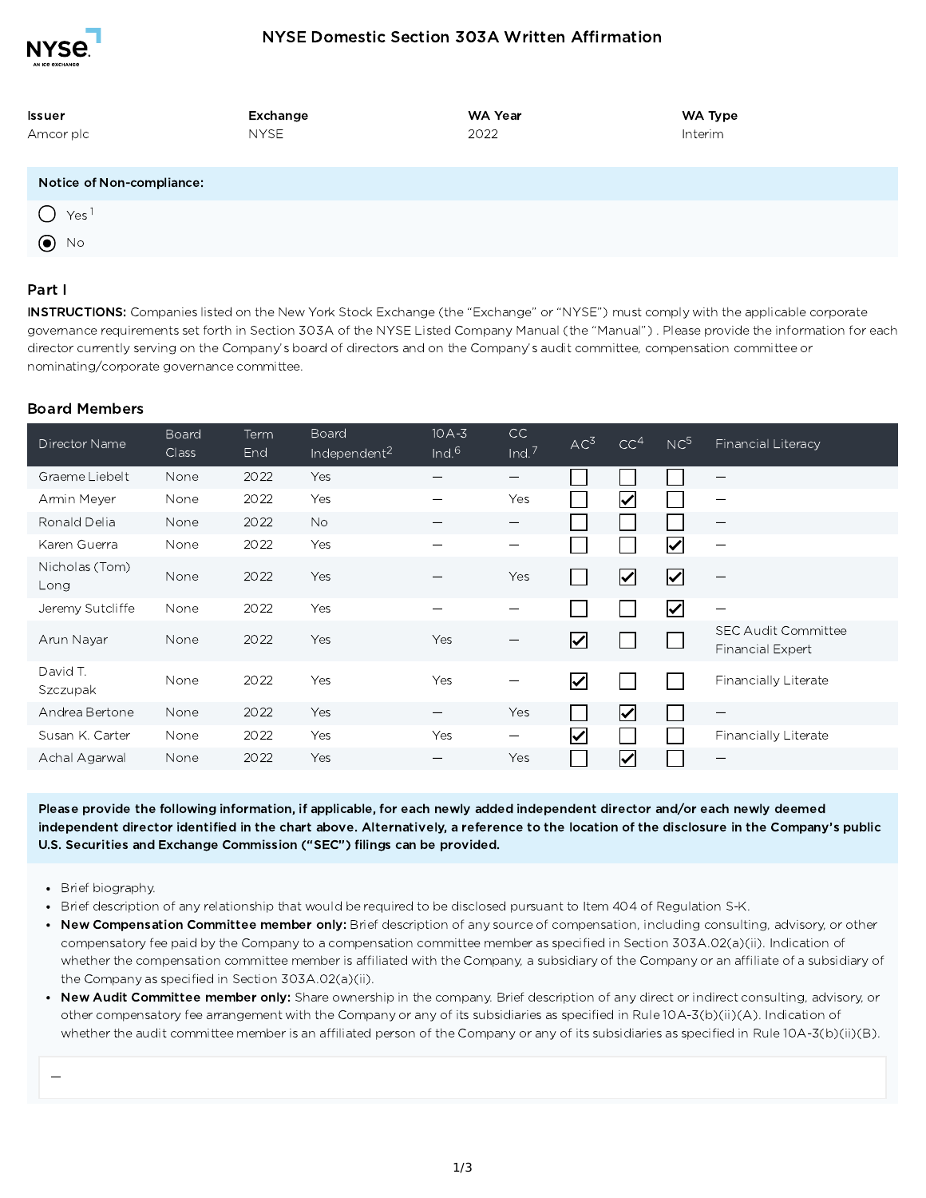

## NYSE Domestic Section 303A Written Affirmation

| Issuer                    | Exchange    | WA Year | WA Type |
|---------------------------|-------------|---------|---------|
| Amcor plc                 | <b>NYSE</b> | 2022    | Interim |
|                           |             |         |         |
| Notice of Non-compliance: |             |         |         |
| Yes <sup>1</sup>          |             |         |         |
| $\odot$ No                |             |         |         |

#### Part I

INSTRUCTIONS: Companies listed on the New York Stock Exchange (the "Exchange" or "NYSE") must comply with the applicable corporate governance requirements set forth in Section 303A of the NYSE Listed Company Manual (the "Manual") . Please provide the information for each director currently serving on the Company's board of directors and on the Company's audit committee, compensation committee or nominating/corporate governance committee.

#### Board Members

| Director Name          | Board<br><b>Class</b> | Term<br>End | Board<br>Independent <sup>2</sup> | $10A-3$<br>Ind.6 | CC<br>Ind. $7$                  | AC <sup>3</sup>       | CC <sup>4</sup>            | NC <sup>5</sup>         | Financial Literacy                             |
|------------------------|-----------------------|-------------|-----------------------------------|------------------|---------------------------------|-----------------------|----------------------------|-------------------------|------------------------------------------------|
| Graeme Liebelt         | None                  | 2022        | Yes                               |                  |                                 |                       |                            |                         | —                                              |
| Armin Meyer            | None                  | 2022        | <b>Yes</b>                        |                  | Yes                             |                       | $\blacktriangledown$       |                         |                                                |
| Ronald Delia           | None                  | 2022        | No.                               |                  | $\qquad \qquad$                 |                       |                            |                         | $\overline{\phantom{m}}$                       |
| Karen Guerra           | None                  | 2022        | <b>Yes</b>                        |                  | —                               |                       |                            | V                       | $\overline{\phantom{m}}$                       |
| Nicholas (Tom)<br>Long | None                  | 2022        | Yes                               |                  | Yes                             |                       | $\overline{\blacklozenge}$ | $\overline{\mathbf{C}}$ | $\overline{\phantom{m}}$                       |
| Jeremy Sutcliffe       | None                  | 2022        | <b>Yes</b>                        |                  | -                               |                       |                            | $\blacktriangledown$    | $\overline{\phantom{m}}$                       |
| Arun Nayar             | None                  | 2022        | Yes                               | Yes              | —                               | $\blacktriangleright$ |                            |                         | <b>SEC Audit Committee</b><br>Financial Expert |
| David T.<br>Szczupak   | None                  | 2022        | <b>Yes</b>                        | <b>Yes</b>       | $\overline{\phantom{0}}$        | $\blacktriangledown$  |                            |                         | Financially Literate                           |
| Andrea Bertone         | None                  | 2022        | Yes                               |                  | Yes                             |                       | $\overline{\checkmark}$    |                         | $\overline{\phantom{m}}$                       |
| Susan K. Carter        | None                  | 2022        | <b>Yes</b>                        | Yes              | $\hspace{0.1mm}-\hspace{0.1mm}$ | $\blacktriangledown$  |                            |                         | Financially Literate                           |
| Achal Agarwal          | None                  | 2022        | Yes                               |                  | Yes                             |                       | ∨                          |                         | —                                              |

Please provide the following information, if applicable, for each newly added independent director and/or each newly deemed independent director identified in the chart above. Alternatively, a reference to the location of the disclosure in the Company's public U.S. Securities and Exchange Commission ("SEC") filings can be provided.

- Brief biography.
- Brief description of any relationship that would be required to be disclosed pursuant to Item 404 of Regulation S-K.
- New Compensation Committee member only: Brief description of any source of compensation, including consulting, advisory, or other compensatory fee paid by the Company to a compensation committee member as specified in Section 303A.02(a)(ii). Indication of whether the compensation committee member is affiliated with the Company, a subsidiary of the Company or an affiliate of a subsidiary of the Company as specified in Section 303A.02(a)(ii).
- New Audit Committee member only: Share ownership in the company. Brief description of any direct or indirect consulting, advisory, or other compensatory fee arrangement with the Company or any of its subsidiaries as specified in Rule 10A-3(b)(ii)(A). Indication of whether the audit committee member is an affiliated person of the Company or any of its subsidiaries as specified in Rule 10A-3(b)(ii)(B).

—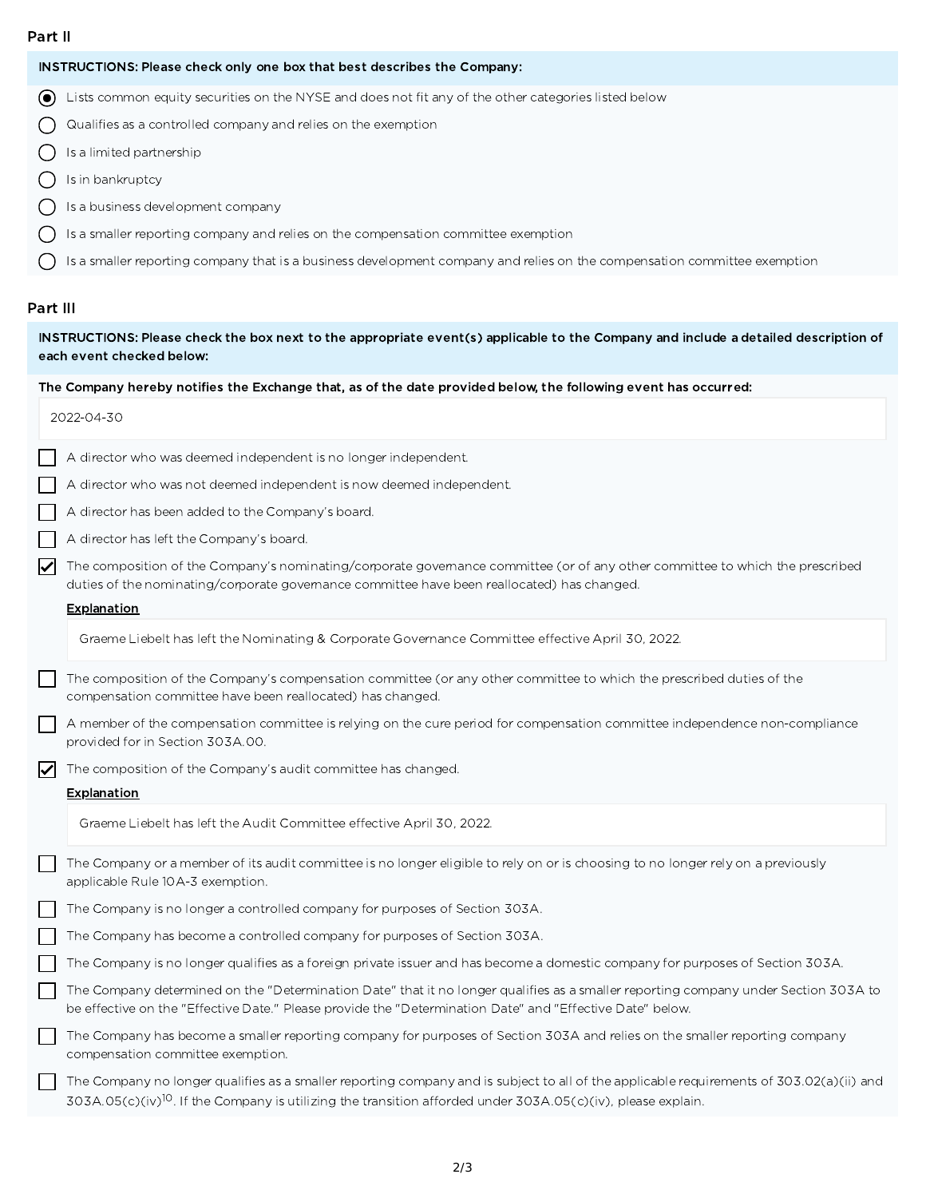#### Part II

| INSTRUCTIONS: Please check only one box that best describes the Company: |
|--------------------------------------------------------------------------|

Lists common equity securities on the NYSE and does not fit any of the other categories listed below

Qualifies as a controlled company and relies on the exemption  $\bigcirc$ 

- $\bigcirc$ Is a limited partnership
- $\bigcirc$ Is in bankruptcy
- $\bigcirc$ Is a business development company
- $\bigcap$  is a smaller reporting company and relies on the compensation committee exemption
- $\bigcirc$ Is a smaller reporting company that is a business development company and relies on the compensation committee exemption

#### Part III

INSTRUCTIONS: Please check the box next to the appropriate event(s) applicable to the Company and include a detailed description of each event checked below:

#### The Company hereby notifies the Exchange that, as of the date provided below, the following event has occurred:

|                      | 2022-04-30                                                                                                                                                                                                                                                       |
|----------------------|------------------------------------------------------------------------------------------------------------------------------------------------------------------------------------------------------------------------------------------------------------------|
|                      | A director who was deemed independent is no longer independent.                                                                                                                                                                                                  |
|                      | A director who was not deemed independent is now deemed independent.                                                                                                                                                                                             |
|                      | A director has been added to the Company's board.                                                                                                                                                                                                                |
|                      | A director has left the Company's board.                                                                                                                                                                                                                         |
| $\blacktriangledown$ | The composition of the Company's nominating/corporate governance committee (or of any other committee to which the prescribed<br>duties of the nominating/corporate governance committee have been reallocated) has changed.                                     |
|                      | <b>Explanation</b>                                                                                                                                                                                                                                               |
|                      | Graeme Liebelt has left the Nominating & Corporate Governance Committee effective April 30, 2022.                                                                                                                                                                |
|                      | The composition of the Company's compensation committee (or any other committee to which the prescribed duties of the<br>compensation committee have been reallocated) has changed.                                                                              |
|                      | A member of the compensation committee is relying on the cure period for compensation committee independence non-compliance<br>provided for in Section 303A.00.                                                                                                  |
| $\blacktriangledown$ | The composition of the Company's audit committee has changed.                                                                                                                                                                                                    |
|                      | <b>Explanation</b>                                                                                                                                                                                                                                               |
|                      | Graeme Liebelt has left the Audit Committee effective April 30, 2022.                                                                                                                                                                                            |
|                      | The Company or a member of its audit committee is no longer eligible to rely on or is choosing to no longer rely on a previously<br>applicable Rule 10A-3 exemption.                                                                                             |
|                      | The Company is no longer a controlled company for purposes of Section 303A.                                                                                                                                                                                      |
|                      | The Company has become a controlled company for purposes of Section 303A.                                                                                                                                                                                        |
|                      | The Company is no longer qualifies as a foreign private issuer and has become a domestic company for purposes of Section 303A.                                                                                                                                   |
|                      | The Company determined on the "Determination Date" that it no longer qualifies as a smaller reporting company under Section 303A to<br>be effective on the "Effective Date." Please provide the "Determination Date" and "Effective Date" below.                 |
|                      | The Company has become a smaller reporting company for purposes of Section 303A and relies on the smaller reporting company<br>compensation committee exemption.                                                                                                 |
|                      | The Company no longer qualifies as a smaller reporting company and is subject to all of the applicable requirements of 303.02(a)(ii) and<br>$303A.05(c)(iv)^{10}$ . If the Company is utilizing the transition afforded under $303A.05(c)(iv)$ , please explain. |
|                      |                                                                                                                                                                                                                                                                  |